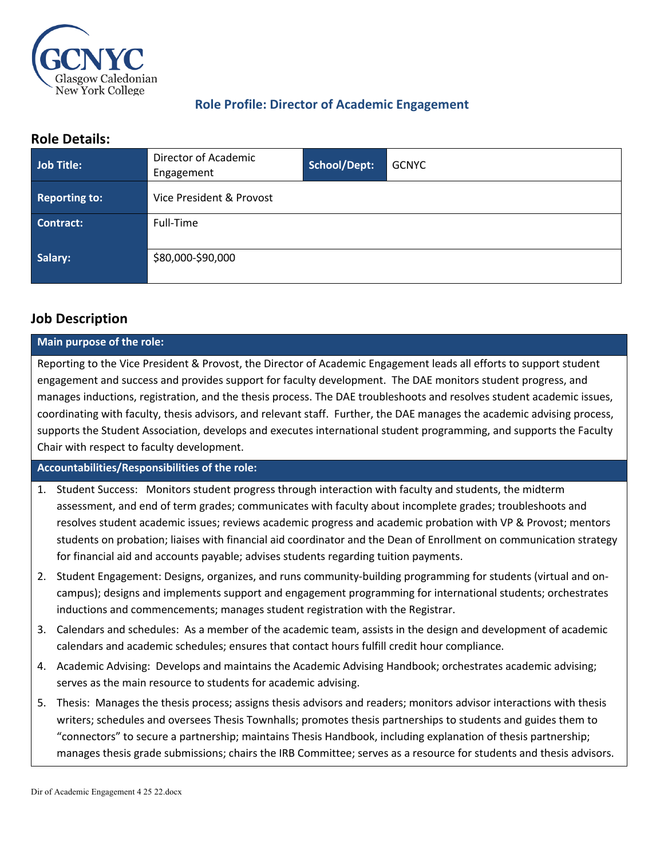

# **Role Profile: Director of Academic Engagement**

## **Role Details:**

| Job Title:           | Director of Academic<br>Engagement | School/Dept: | <b>GCNYC</b> |
|----------------------|------------------------------------|--------------|--------------|
| <b>Reporting to:</b> | Vice President & Provost           |              |              |
| Contract:            | Full-Time                          |              |              |
| Salary:              | \$80,000-\$90,000                  |              |              |

# **Job Description**

#### **Main purpose of the role:**

Reporting to the Vice President & Provost, the Director of Academic Engagement leads all efforts to support student engagement and success and provides support for faculty development. The DAE monitors student progress, and manages inductions, registration, and the thesis process. The DAE troubleshoots and resolves student academic issues, coordinating with faculty, thesis advisors, and relevant staff. Further, the DAE manages the academic advising process, supports the Student Association, develops and executes international student programming, and supports the Faculty Chair with respect to faculty development.

## **Accountabilities/Responsibilities of the role:**

- 1. Student Success: Monitors student progress through interaction with faculty and students, the midterm assessment, and end of term grades; communicates with faculty about incomplete grades; troubleshoots and resolves student academic issues; reviews academic progress and academic probation with VP & Provost; mentors students on probation; liaises with financial aid coordinator and the Dean of Enrollment on communication strategy for financial aid and accounts payable; advises students regarding tuition payments.
- 2. Student Engagement: Designs, organizes, and runs community-building programming for students (virtual and oncampus); designs and implements support and engagement programming for international students; orchestrates inductions and commencements; manages student registration with the Registrar.
- 3. Calendars and schedules: As a member of the academic team, assists in the design and development of academic calendars and academic schedules; ensures that contact hours fulfill credit hour compliance.
- 4. Academic Advising: Develops and maintains the Academic Advising Handbook; orchestrates academic advising; serves as the main resource to students for academic advising.
- 5. Thesis: Manages the thesis process; assigns thesis advisors and readers; monitors advisor interactions with thesis writers; schedules and oversees Thesis Townhalls; promotes thesis partnerships to students and guides them to "connectors" to secure a partnership; maintains Thesis Handbook, including explanation of thesis partnership; manages thesis grade submissions; chairs the IRB Committee; serves as a resource for students and thesis advisors.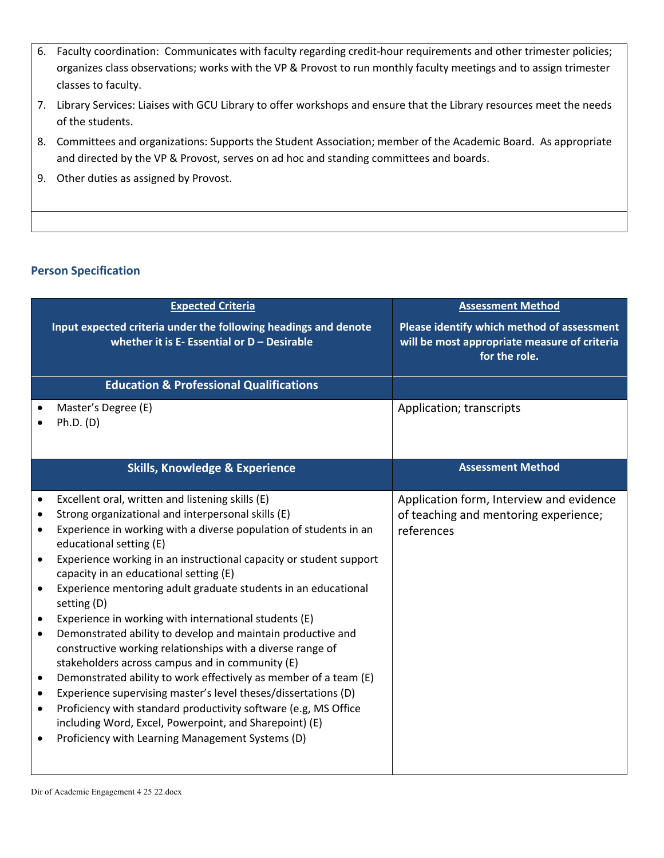- 6. Faculty coordination: Communicates with faculty regarding credit-hour requirements and other trimester policies; organizes class observations; works with the VP & Provost to run monthly faculty meetings and to assign trimester classes to faculty.
- 7. Library Services: Liaises with GCU Library to offer workshops and ensure that the Library resources meet the needs of the students.
- 8. Committees and organizations: Supports the Student Association; member of the Academic Board. As appropriate and directed by the VP & Provost, serves on ad hoc and standing committees and boards.
- 9. Other duties as assigned by Provost.

### **Person Specification**

| <b>Expected Criteria</b>                                                                                                                                                                                                                                                                                                                                                                                                                                                                                                                                                                                                                                                                                                                                                                                                                                                                                                                                                                                                                                                        | <b>Assessment Method</b>                                                                                           |
|---------------------------------------------------------------------------------------------------------------------------------------------------------------------------------------------------------------------------------------------------------------------------------------------------------------------------------------------------------------------------------------------------------------------------------------------------------------------------------------------------------------------------------------------------------------------------------------------------------------------------------------------------------------------------------------------------------------------------------------------------------------------------------------------------------------------------------------------------------------------------------------------------------------------------------------------------------------------------------------------------------------------------------------------------------------------------------|--------------------------------------------------------------------------------------------------------------------|
| Input expected criteria under the following headings and denote<br>whether it is $E$ - Essential or $D$ – Desirable                                                                                                                                                                                                                                                                                                                                                                                                                                                                                                                                                                                                                                                                                                                                                                                                                                                                                                                                                             | <b>Please identify which method of assessment</b><br>will be most appropriate measure of criteria<br>for the role. |
| <b>Education &amp; Professional Qualifications</b>                                                                                                                                                                                                                                                                                                                                                                                                                                                                                                                                                                                                                                                                                                                                                                                                                                                                                                                                                                                                                              |                                                                                                                    |
| Master's Degree (E)<br>Ph.D. (D)                                                                                                                                                                                                                                                                                                                                                                                                                                                                                                                                                                                                                                                                                                                                                                                                                                                                                                                                                                                                                                                | Application; transcripts                                                                                           |
| <b>Skills, Knowledge &amp; Experience</b>                                                                                                                                                                                                                                                                                                                                                                                                                                                                                                                                                                                                                                                                                                                                                                                                                                                                                                                                                                                                                                       | <b>Assessment Method</b>                                                                                           |
| Excellent oral, written and listening skills (E)<br>Strong organizational and interpersonal skills (E)<br>$\bullet$<br>Experience in working with a diverse population of students in an<br>educational setting (E)<br>Experience working in an instructional capacity or student support<br>$\bullet$<br>capacity in an educational setting (E)<br>Experience mentoring adult graduate students in an educational<br>$\bullet$<br>setting (D)<br>Experience in working with international students (E)<br>$\bullet$<br>Demonstrated ability to develop and maintain productive and<br>$\bullet$<br>constructive working relationships with a diverse range of<br>stakeholders across campus and in community (E)<br>Demonstrated ability to work effectively as member of a team (E)<br>$\bullet$<br>Experience supervising master's level theses/dissertations (D)<br>$\bullet$<br>Proficiency with standard productivity software (e.g, MS Office<br>$\bullet$<br>including Word, Excel, Powerpoint, and Sharepoint) (E)<br>Proficiency with Learning Management Systems (D) | Application form, Interview and evidence<br>of teaching and mentoring experience;<br>references                    |